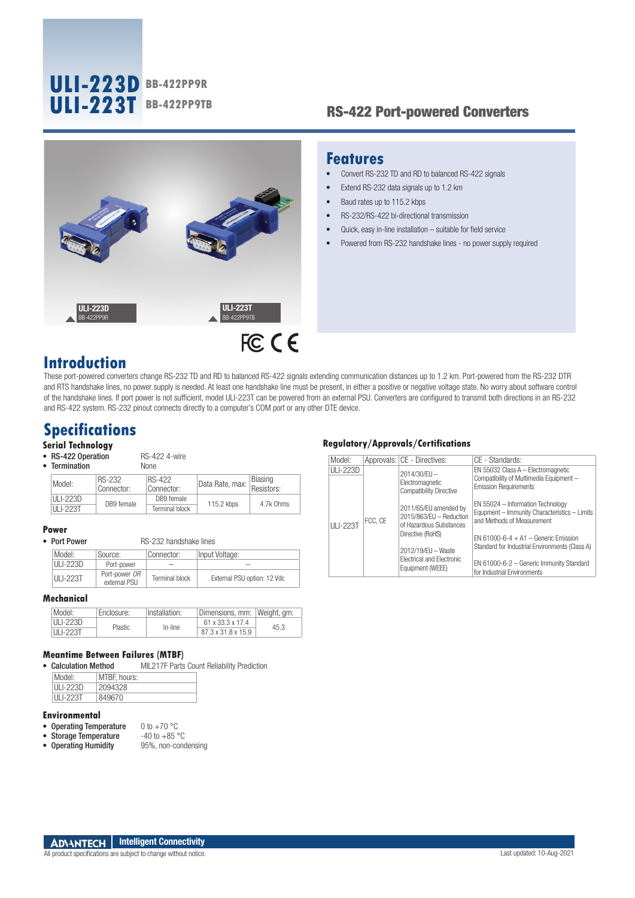# **ULI-223D BB-422PP9R ULI-223T BB-422PP9TB**

## RS-422 Port-powered Converters



## **Features**

- Convert RS-232 TD and RD to balanced RS-422 signals
- Extend RS-232 data signals up to 1.2 km
- Baud rates up to 115.2 kbps
- RS-232/RS-422 bi-directional transmission
- Quick, easy in-line installation suitable for field service
- Powered from RS-232 handshake lines no power supply required

## **Introduction**

These port-powered converters change RS-232 TD and RD to balanced RS-422 signals extending communication distances up to 1.2 km. Port-powered from the RS-232 DTR and RTS handshake lines, no power supply is needed. At least one handshake line must be present, in either a positive or negative voltage state. No worry about software control of the handshake lines. If port power is not sufficient, model ULI-223T can be powered from an external PSU. Converters are configured to transmit both directions in an RS-232 and RS-422 system. RS-232 pinout connects directly to a computer's COM port or any other DTE device.

## **Specifications**

### **Serial Technology**

• RS-422 Operation RS-422 4-wire

| • Termination |                      | <b>None</b>          |                 |                       |
|---------------|----------------------|----------------------|-----------------|-----------------------|
| Model:        | RS-232<br>Connector: | RS-422<br>Connector: | Data Rate, max: | Biasing<br>Resistors: |
| ULI-223D      | DB9 female           | DB9 female           | 115.2 kbps      | 4.7k Ohms             |
| ULI-223T      |                      | Terminal block       |                 |                       |

**Power**

| Model:          | Source:                       | Connector:     | Input Voltage:              |
|-----------------|-------------------------------|----------------|-----------------------------|
| $III - 223D$    | Port-power                    | $-$            |                             |
| <b>ULI-223T</b> | Port-power OR<br>external PSU | Terminal block | External PSU option: 12 Vdc |

RS-232 handshake lines

### **Mechanical**

| Model:                        | Fnclosure:     | Installation: | Dimensions, mm:    | Weiaht. am: |
|-------------------------------|----------------|---------------|--------------------|-------------|
| <b>III I-223D</b><br>HLI-223T | <b>Plastic</b> | In-line       | 61 x 33 3 x 17 4   | 45.3        |
|                               |                |               | 87.3 x 31.8 x 15.9 |             |

### **Meantime Between Failures (MTBF)**

• Calculation Method MIL217F Parts Count Reliability Prediction

| Model:          | MTBF, hours: |
|-----------------|--------------|
| ULI-223D        | 2094328      |
| <b>ULI-223T</b> | 849670       |

### **Environmental**

- Operating Temperature  $0$  to +70 °C<br>• Storage Temperature  $-40$  to +85 °C
- 
- Storage Temperature  $-40$  to +85 °C<br>• Operating Humidity 95%, non-condensing  $\bullet$  Operating Humidity

### **Regulatory/Approvals/Certifications**

| Model:          |         | Approvals: CE - Directives:                                                                                                                                            | CE - Standards:                                                                                                 |
|-----------------|---------|------------------------------------------------------------------------------------------------------------------------------------------------------------------------|-----------------------------------------------------------------------------------------------------------------|
| <b>ULI-223D</b> | FCC. CE | 2014/30/EU -<br>Electromagnetic<br><b>Compatibility Directive</b>                                                                                                      | EN 55032 Class A - Electromagnetic<br>Compatibility of Multimedia Equipment -<br><b>Emission Requirements</b>   |
| <b>ULI-223T</b> |         | 2011/65/EU amended by<br>2015/863/EU - Reduction<br>of Hazardous Substances<br>Directive (RoHS)<br>2012/19/EU - Waste<br>Flectrical and Flectronic<br>Equipment (WEEE) | EN 55024 - Information Technology<br>Equpment - Immunity Characteristics - Limits<br>and Methods of Measurement |
|                 |         |                                                                                                                                                                        | $FN 61000 - 6 - 4 + A1 -$ Generic Emission<br>Standard for Industrial Environments (Class A)                    |
|                 |         |                                                                                                                                                                        | EN 61000-6-2 - Generic Immunity Standard<br>for Industrial Environments                                         |